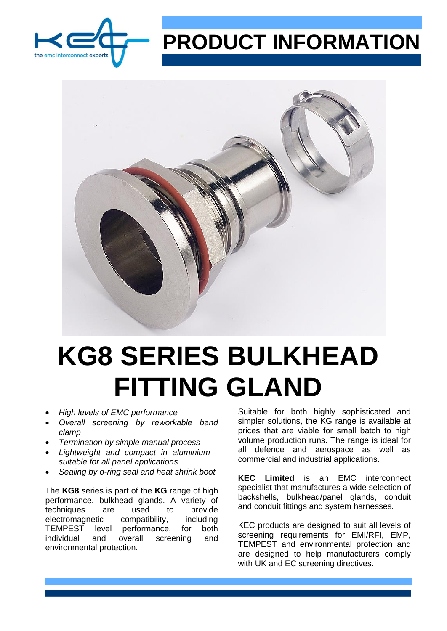

## **PRODUCT INFORMATION**



## **KG8 SERIES BULKHEAD FITTING GLAND**

- *High levels of EMC performance*
- *Overall screening by reworkable band clamp*
- *Termination by simple manual process*
- *Lightweight and compact in aluminium suitable for all panel applications*
- *Sealing by o-ring seal and heat shrink boot*

The **KG8** series is part of the **KG** range of high performance, bulkhead glands. A variety of techniques are used to provide electromagnetic compatibility, including TEMPEST level performance, for both individual and overall screening and environmental protection.

Suitable for both highly sophisticated and simpler solutions, the KG range is available at prices that are viable for small batch to high volume production runs. The range is ideal for all defence and aerospace as well as commercial and industrial applications.

**KEC Limited** is an EMC interconnect specialist that manufactures a wide selection of backshells, bulkhead/panel glands, conduit and conduit fittings and system harnesses.

KEC products are designed to suit all levels of screening requirements for EMI/RFI, EMP, TEMPEST and environmental protection and are designed to help manufacturers comply with UK and EC screening directives.